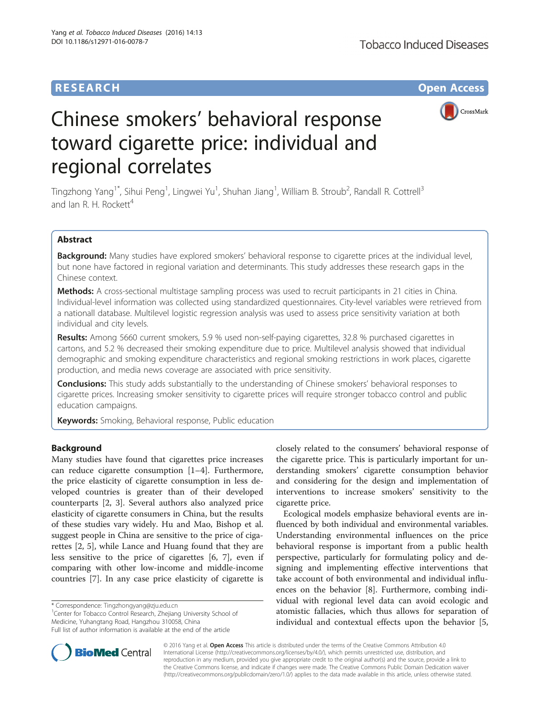# **RESEARCH CHE Open Access**



# Chinese smokers' behavioral response toward cigarette price: individual and regional correlates

Tingzhong Yang<sup>1\*</sup>, Sihui Peng<sup>1</sup>, Lingwei Yu<sup>1</sup>, Shuhan Jiang<sup>1</sup>, William B. Stroub<sup>2</sup>, Randall R. Cottrell<sup>3</sup> and Ian R. H. Rockett<sup>4</sup>

# Abstract

Background: Many studies have explored smokers' behavioral response to cigarette prices at the individual level, but none have factored in regional variation and determinants. This study addresses these research gaps in the Chinese context.

Methods: A cross-sectional multistage sampling process was used to recruit participants in 21 cities in China. Individual-level information was collected using standardized questionnaires. City-level variables were retrieved from a nationall database. Multilevel logistic regression analysis was used to assess price sensitivity variation at both individual and city levels.

Results: Among 5660 current smokers, 5.9 % used non-self-paying cigarettes, 32.8 % purchased cigarettes in cartons, and 5.2 % decreased their smoking expenditure due to price. Multilevel analysis showed that individual demographic and smoking expenditure characteristics and regional smoking restrictions in work places, cigarette production, and media news coverage are associated with price sensitivity.

**Conclusions:** This study adds substantially to the understanding of Chinese smokers' behavioral responses to cigarette prices. Increasing smoker sensitivity to cigarette prices will require stronger tobacco control and public education campaigns.

Keywords: Smoking, Behavioral response, Public education

# Background

Many studies have found that cigarettes price increases can reduce cigarette consumption [\[1](#page-9-0)–[4](#page-9-0)]. Furthermore, the price elasticity of cigarette consumption in less developed countries is greater than of their developed counterparts [\[2, 3](#page-9-0)]. Several authors also analyzed price elasticity of cigarette consumers in China, but the results of these studies vary widely. Hu and Mao, Bishop et al. suggest people in China are sensitive to the price of cigarettes [[2, 5\]](#page-9-0), while Lance and Huang found that they are less sensitive to the price of cigarettes [\[6](#page-9-0), [7\]](#page-9-0), even if comparing with other low-income and middle-income countries [[7\]](#page-9-0). In any case price elasticity of cigarette is

\* Correspondence: [Tingzhongyang@zju.edu.cn](mailto:Tingzhongyang@zju.edu.cn) <sup>1</sup>

<sup>1</sup> Center for Tobacco Control Research, Zhejiang University School of Medicine, Yuhangtang Road, Hangzhou 310058, China



Ecological models emphasize behavioral events are influenced by both individual and environmental variables. Understanding environmental influences on the price behavioral response is important from a public health perspective, particularly for formulating policy and designing and implementing effective interventions that take account of both environmental and individual influences on the behavior [\[8](#page-9-0)]. Furthermore, combing individual with regional level data can avoid ecologic and atomistic fallacies, which thus allows for separation of individual and contextual effects upon the behavior [[5](#page-9-0),



© 2016 Yang et al. Open Access This article is distributed under the terms of the Creative Commons Attribution 4.0 International License [\(http://creativecommons.org/licenses/by/4.0/](http://creativecommons.org/licenses/by/4.0/)), which permits unrestricted use, distribution, and reproduction in any medium, provided you give appropriate credit to the original author(s) and the source, provide a link to the Creative Commons license, and indicate if changes were made. The Creative Commons Public Domain Dedication waiver [\(http://creativecommons.org/publicdomain/zero/1.0/](http://creativecommons.org/publicdomain/zero/1.0/)) applies to the data made available in this article, unless otherwise stated.

Full list of author information is available at the end of the article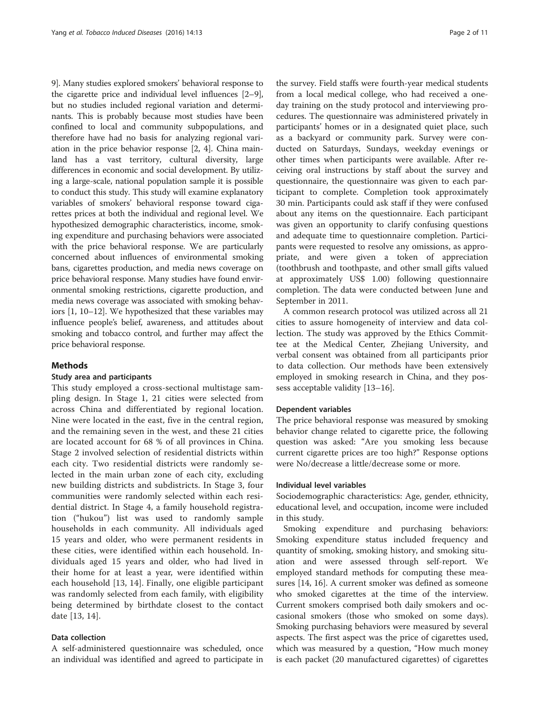[9\]](#page-9-0). Many studies explored smokers' behavioral response to the cigarette price and individual level influences [[2](#page-9-0)–[9](#page-9-0)], but no studies included regional variation and determinants. This is probably because most studies have been confined to local and community subpopulations, and therefore have had no basis for analyzing regional variation in the price behavior response [[2, 4\]](#page-9-0). China mainland has a vast territory, cultural diversity, large differences in economic and social development. By utilizing a large-scale, national population sample it is possible to conduct this study. This study will examine explanatory variables of smokers' behavioral response toward cigarettes prices at both the individual and regional level. We hypothesized demographic characteristics, income, smoking expenditure and purchasing behaviors were associated with the price behavioral response. We are particularly concerned about influences of environmental smoking bans, cigarettes production, and media news coverage on price behavioral response. Many studies have found environmental smoking restrictions, cigarette production, and media news coverage was associated with smoking behaviors [[1](#page-9-0), [10](#page-9-0)–[12\]](#page-9-0). We hypothesized that these variables may influence people's belief, awareness, and attitudes about smoking and tobacco control, and further may affect the price behavioral response.

# Methods

## Study area and participants

This study employed a cross-sectional multistage sampling design. In Stage 1, 21 cities were selected from across China and differentiated by regional location. Nine were located in the east, five in the central region, and the remaining seven in the west, and these 21 cities are located account for 68 % of all provinces in China. Stage 2 involved selection of residential districts within each city. Two residential districts were randomly selected in the main urban zone of each city, excluding new building districts and subdistricts. In Stage 3, four communities were randomly selected within each residential district. In Stage 4, a family household registration ("hukou") list was used to randomly sample households in each community. All individuals aged 15 years and older, who were permanent residents in these cities, were identified within each household. Individuals aged 15 years and older, who had lived in their home for at least a year, were identified within each household [[13, 14](#page-9-0)]. Finally, one eligible participant was randomly selected from each family, with eligibility being determined by birthdate closest to the contact date [[13](#page-9-0), [14\]](#page-9-0).

# Data collection

A self-administered questionnaire was scheduled, once an individual was identified and agreed to participate in

the survey. Field staffs were fourth-year medical students from a local medical college, who had received a oneday training on the study protocol and interviewing procedures. The questionnaire was administered privately in participants' homes or in a designated quiet place, such as a backyard or community park. Survey were conducted on Saturdays, Sundays, weekday evenings or other times when participants were available. After receiving oral instructions by staff about the survey and questionnaire, the questionnaire was given to each participant to complete. Completion took approximately 30 min. Participants could ask staff if they were confused about any items on the questionnaire. Each participant was given an opportunity to clarify confusing questions and adequate time to questionnaire completion. Participants were requested to resolve any omissions, as appropriate, and were given a token of appreciation (toothbrush and toothpaste, and other small gifts valued at approximately US\$ 1.00) following questionnaire completion. The data were conducted between June and September in 2011.

A common research protocol was utilized across all 21 cities to assure homogeneity of interview and data collection. The study was approved by the Ethics Committee at the Medical Center, Zhejiang University, and verbal consent was obtained from all participants prior to data collection. Our methods have been extensively employed in smoking research in China, and they possess acceptable validity [\[13](#page-9-0)–[16\]](#page-9-0).

## Dependent variables

The price behavioral response was measured by smoking behavior change related to cigarette price, the following question was asked: "Are you smoking less because current cigarette prices are too high?" Response options were No/decrease a little/decrease some or more.

## Individual level variables

Sociodemographic characteristics: Age, gender, ethnicity, educational level, and occupation, income were included in this study.

Smoking expenditure and purchasing behaviors: Smoking expenditure status included frequency and quantity of smoking, smoking history, and smoking situation and were assessed through self-report. We employed standard methods for computing these measures [[14, 16](#page-9-0)]. A current smoker was defined as someone who smoked cigarettes at the time of the interview. Current smokers comprised both daily smokers and occasional smokers (those who smoked on some days). Smoking purchasing behaviors were measured by several aspects. The first aspect was the price of cigarettes used, which was measured by a question, "How much money is each packet (20 manufactured cigarettes) of cigarettes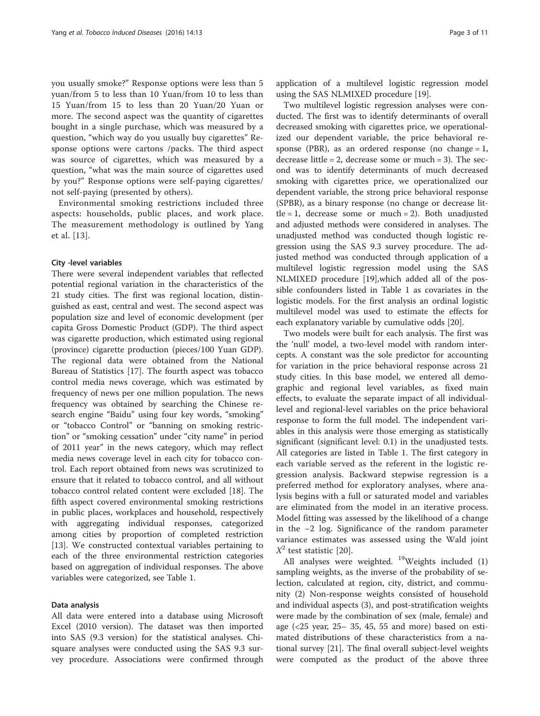you usually smoke?" Response options were less than 5 yuan/from 5 to less than 10 Yuan/from 10 to less than 15 Yuan/from 15 to less than 20 Yuan/20 Yuan or more. The second aspect was the quantity of cigarettes bought in a single purchase, which was measured by a question, "which way do you usually buy cigarettes" Response options were cartons /packs. The third aspect was source of cigarettes, which was measured by a question, "what was the main source of cigarettes used by you?" Response options were self-paying cigarettes/ not self-paying (presented by others).

Environmental smoking restrictions included three aspects: households, public places, and work place. The measurement methodology is outlined by Yang et al. [[13\]](#page-9-0).

#### City -level variables

There were several independent variables that reflected potential regional variation in the characteristics of the 21 study cities. The first was regional location, distinguished as east, central and west. The second aspect was population size and level of economic development (per capita Gross Domestic Product (GDP). The third aspect was cigarette production, which estimated using regional (province) cigarette production (pieces/100 Yuan GDP). The regional data were obtained from the National Bureau of Statistics [\[17](#page-9-0)]. The fourth aspect was tobacco control media news coverage, which was estimated by frequency of news per one million population. The news frequency was obtained by searching the Chinese research engine "Baidu" using four key words, "smoking" or "tobacco Control" or "banning on smoking restriction" or "smoking cessation" under "city name" in period of 2011 year" in the news category, which may reflect media news coverage level in each city for tobacco control. Each report obtained from news was scrutinized to ensure that it related to tobacco control, and all without tobacco control related content were excluded [[18\]](#page-9-0). The fifth aspect covered environmental smoking restrictions in public places, workplaces and household, respectively with aggregating individual responses, categorized among cities by proportion of completed restriction [[13\]](#page-9-0). We constructed contextual variables pertaining to each of the three environmental restriction categories based on aggregation of individual responses. The above variables were categorized, see Table [1.](#page-3-0)

#### Data analysis

All data were entered into a database using Microsoft Excel (2010 version). The dataset was then imported into SAS (9.3 version) for the statistical analyses. Chisquare analyses were conducted using the SAS 9.3 survey procedure. Associations were confirmed through

application of a multilevel logistic regression model using the SAS NLMIXED procedure [[19](#page-9-0)].

Two multilevel logistic regression analyses were conducted. The first was to identify determinants of overall decreased smoking with cigarettes price, we operationalized our dependent variable, the price behavioral response (PBR), as an ordered response (no change  $= 1$ , decrease little = 2, decrease some or much = 3). The second was to identify determinants of much decreased smoking with cigarettes price, we operationalized our dependent variable, the strong price behavioral response (SPBR), as a binary response (no change or decrease lit $tle = 1$ , decrease some or much = 2). Both unadjusted and adjusted methods were considered in analyses. The unadjusted method was conducted though logistic regression using the SAS 9.3 survey procedure. The adjusted method was conducted through application of a multilevel logistic regression model using the SAS NLMIXED procedure [\[19](#page-9-0)],which added all of the possible confounders listed in Table [1](#page-3-0) as covariates in the logistic models. For the first analysis an ordinal logistic multilevel model was used to estimate the effects for each explanatory variable by cumulative odds [[20\]](#page-9-0).

Two models were built for each analysis. The first was the 'null' model, a two-level model with random intercepts. A constant was the sole predictor for accounting for variation in the price behavioral response across 21 study cities. In this base model, we entered all demographic and regional level variables, as fixed main effects, to evaluate the separate impact of all individuallevel and regional-level variables on the price behavioral response to form the full model. The independent variables in this analysis were those emerging as statistically significant (significant level: 0.1) in the unadjusted tests. All categories are listed in Table [1.](#page-3-0) The first category in each variable served as the referent in the logistic regression analysis. Backward stepwise regression is a preferred method for exploratory analyses, where analysis begins with a full or saturated model and variables are eliminated from the model in an iterative process. Model fitting was assessed by the likelihood of a change in the −2 log. Significance of the random parameter variance estimates was assessed using the Wald joint  $X^2$  test statistic [[20](#page-9-0)].

All analyses were weighted. <sup>19</sup>Weights included (1) sampling weights, as the inverse of the probability of selection, calculated at region, city, district, and community (2) Non-response weights consisted of household and individual aspects (3), and post-stratification weights were made by the combination of sex (male, female) and age (<25 year, 25– 35, 45, 55 and more) based on estimated distributions of these characteristics from a national survey [\[21\]](#page-9-0). The final overall subject-level weights were computed as the product of the above three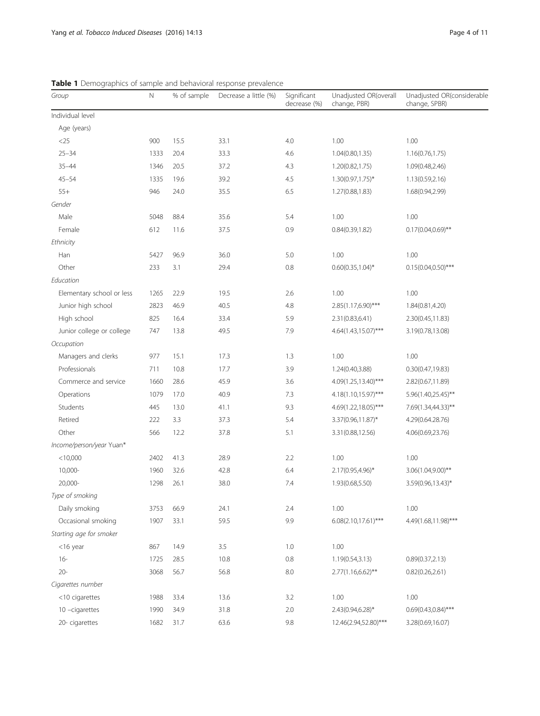| Group                     | $\mathsf{N}$ | % of sample | Decrease a little (%) | Significant<br>decrease (%) | Unadjusted OR(overall<br>change, PBR) | Unadjusted OR(considerable<br>change, SPBR) |
|---------------------------|--------------|-------------|-----------------------|-----------------------------|---------------------------------------|---------------------------------------------|
| Individual level          |              |             |                       |                             |                                       |                                             |
| Age (years)               |              |             |                       |                             |                                       |                                             |
| $<$ 25                    | 900          | 15.5        | 33.1                  | 4.0                         | 1.00                                  | 1.00                                        |
| $25 - 34$                 | 1333         | 20.4        | 33.3                  | 4.6                         | 1.04(0.80, 1.35)                      | 1.16(0.76, 1.75)                            |
| $35 - 44$                 | 1346         | 20.5        | 37.2                  | 4.3                         | 1.20(0.82, 1.75)                      | 1.09(0.48,2.46)                             |
| $45 - 54$                 | 1335         | 19.6        | 39.2                  | 4.5                         | $1.30(0.97, 1.75)^*$                  | 1.13(0.59,2.16)                             |
| $55+$                     | 946          | 24.0        | 35.5                  | 6.5                         | 1.27(0.88,1.83)                       | 1.68(0.94,2.99)                             |
| Gender                    |              |             |                       |                             |                                       |                                             |
| Male                      | 5048         | 88.4        | 35.6                  | 5.4                         | 1.00                                  | 1.00                                        |
| Female                    | 612          | 11.6        | 37.5                  | 0.9                         | 0.84(0.39, 1.82)                      | $0.17(0.04, 0.69)$ **                       |
| Ethnicity                 |              |             |                       |                             |                                       |                                             |
| Han                       | 5427         | 96.9        | 36.0                  | 5.0                         | 1.00                                  | 1.00                                        |
| Other                     | 233          | 3.1         | 29.4                  | 0.8                         | $0.60(0.35, 1.04)^*$                  | $0.15(0.04, 0.50)$ ***                      |
| Education                 |              |             |                       |                             |                                       |                                             |
| Elementary school or less | 1265         | 22.9        | 19.5                  | 2.6                         | 1.00                                  | 1.00                                        |
| Junior high school        | 2823         | 46.9        | 40.5                  | 4.8                         | 2.85(1.17,6.90)***                    | 1.84(0.81,4.20)                             |
| High school               | 825          | 16.4        | 33.4                  | 5.9                         | 2.31(0.83,6.41)                       | 2.30(0.45,11.83)                            |
| Junior college or college | 747          | 13.8        | 49.5                  | 7.9                         | 4.64(1.43,15.07)***                   | 3.19(0.78,13.08)                            |
| Occupation                |              |             |                       |                             |                                       |                                             |
| Managers and clerks       | 977          | 15.1        | 17.3                  | 1.3                         | 1.00                                  | 1.00                                        |
| Professionals             | 711          | 10.8        | 17.7                  | 3.9                         | 1.24(0.40,3.88)                       | 0.30(0.47, 19.83)                           |
| Commerce and service      | 1660         | 28.6        | 45.9                  | 3.6                         | 4.09(1.25,13.40)***                   | 2.82(0.67,11.89)                            |
| Operations                | 1079         | 17.0        | 40.9                  | 7.3                         | 4.18(1.10,15.97)***                   | 5.96(1.40,25.45)**                          |
| Students                  | 445          | 13.0        | 41.1                  | 9.3                         | 4.69(1.22,18.05)***                   | 7.69(1.34,44.33)**                          |
| Retired                   | 222          | 3.3         | 37.3                  | 5.4                         | 3.37(0.96,11.87)*                     | 4.29(0.64.28.76)                            |
| Other                     | 566          | 12.2        | 37.8                  | 5.1                         | 3.31(0.88,12.56)                      | 4.06(0.69,23.76)                            |
| Income/person/year Yuan*  |              |             |                       |                             |                                       |                                             |
| $<$ 10,000                | 2402         | 41.3        | 28.9                  | 2.2                         | 1.00                                  | 1.00                                        |
| 10,000-                   | 1960         | 32.6        | 42.8                  | 6.4                         | 2.17(0.95,4.96)*                      | 3.06(1.04,9.00)**                           |
| 20,000-                   | 1298         | 26.1        | 38.0                  | 7.4                         | 1.93(0.68,5.50)                       | 3.59(0.96,13.43)*                           |
| Type of smoking           |              |             |                       |                             |                                       |                                             |
| Daily smoking             | 3753         | 66.9        | 24.1                  | 2.4                         | 1.00                                  | 1.00                                        |
| Occasional smoking        | 1907         | 33.1        | 59.5                  | 9.9                         | $6.08(2.10,17.61)$ ***                | 4.49(1.68,11.98)***                         |
| Starting age for smoker   |              |             |                       |                             |                                       |                                             |
| $<$ 16 year               | 867          | 14.9        | 3.5                   | 1.0                         | 1.00                                  |                                             |
| $16 -$                    | 1725         | 28.5        | 10.8                  | $0.8\,$                     | 1.19(0.54, 3.13)                      | 0.89(0.37, 2.13)                            |
| $20 -$                    | 3068         | 56.7        | 56.8                  | $8.0\,$                     | $2.77(1.16,6.62)$ **                  | 0.82(0.26, 2.61)                            |
| Cigarettes number         |              |             |                       |                             |                                       |                                             |
| <10 cigarettes            | 1988         | 33.4        | 13.6                  | 3.2                         | 1.00                                  | 1.00                                        |
| 10-cigarettes             | 1990         | 34.9        | 31.8                  | 2.0                         | 2.43(0.94,6.28)*                      | $0.69(0.43, 0.84)$ ***                      |
| 20- cigarettes            | 1682         | 31.7        | 63.6                  | 9.8                         | 12.46(2.94,52.80)***                  | 3.28(0.69,16.07)                            |

<span id="page-3-0"></span>Table 1 Demographics of sample and behavioral response prevalence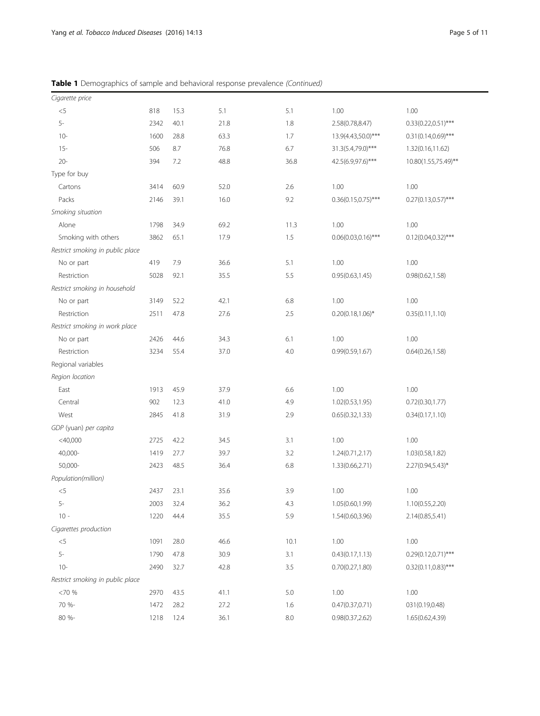Table 1 Demographics of sample and behavioral response prevalence (Continued)

| Cigarette price                  |      |      |      |         |                        |                        |
|----------------------------------|------|------|------|---------|------------------------|------------------------|
| $<$ 5                            | 818  | 15.3 | 5.1  | 5.1     | 1.00                   | 1.00                   |
| $5-$                             | 2342 | 40.1 | 21.8 | 1.8     | 2.58(0.78,8.47)        | $0.33(0.22,0.51)$ ***  |
| $10-$                            | 1600 | 28.8 | 63.3 | 1.7     | 13.9(4.43,50.0)***     | $0.31(0.14, 0.69)$ *** |
| $15 -$                           | 506  | 8.7  | 76.8 | 6.7     | 31.3(5.4,79.0)***      | 1.32(0.16,11.62)       |
| $20 -$                           | 394  | 7.2  | 48.8 | 36.8    | 42.5(6.9,97.6)***      | 10.80(1.55,75.49)**    |
| Type for buy                     |      |      |      |         |                        |                        |
| Cartons                          | 3414 | 60.9 | 52.0 | 2.6     | 1.00                   | 1.00                   |
| Packs                            | 2146 | 39.1 | 16.0 | 9.2     | $0.36(0.15, 0.75)$ *** | $0.27(0.13, 0.57)$ *** |
| Smoking situation                |      |      |      |         |                        |                        |
| Alone                            | 1798 | 34.9 | 69.2 | 11.3    | 1.00                   | 1.00                   |
| Smoking with others              | 3862 | 65.1 | 17.9 | 1.5     | $0.06(0.03, 0.16)$ *** | $0.12(0.04, 0.32)$ *** |
| Restrict smoking in public place |      |      |      |         |                        |                        |
| No or part                       | 419  | 7.9  | 36.6 | 5.1     | 1.00                   | 1.00                   |
| Restriction                      | 5028 | 92.1 | 35.5 | 5.5     | 0.95(0.63, 1.45)       | 0.98(0.62, 1.58)       |
| Restrict smoking in household    |      |      |      |         |                        |                        |
| No or part                       | 3149 | 52.2 | 42.1 | 6.8     | 1.00                   | 1.00                   |
| Restriction                      | 2511 | 47.8 | 27.6 | 2.5     | $0.20(0.18, 1.06)^*$   | 0.35(0.11, 1.10)       |
| Restrict smoking in work place   |      |      |      |         |                        |                        |
| No or part                       | 2426 | 44.6 | 34.3 | 6.1     | 1.00                   | 1.00                   |
| Restriction                      | 3234 | 55.4 | 37.0 | $4.0\,$ | 0.99(0.59, 1.67)       | 0.64(0.26, 1.58)       |
| Regional variables               |      |      |      |         |                        |                        |
| Region location                  |      |      |      |         |                        |                        |
| East                             | 1913 | 45.9 | 37.9 | 6.6     | 1.00                   | 1.00                   |
| Central                          | 902  | 12.3 | 41.0 | 4.9     | 1.02(0.53,1.95)        | 0.72(0.30, 1.77)       |
| West                             | 2845 | 41.8 | 31.9 | 2.9     | 0.65(0.32, 1.33)       | 0.34(0.17, 1.10)       |
| GDP (yuan) per capita            |      |      |      |         |                        |                        |
| $<$ 40,000                       | 2725 | 42.2 | 34.5 | 3.1     | 1.00                   | 1.00                   |
| 40,000-                          | 1419 | 27.7 | 39.7 | 3.2     | 1.24(0.71,2.17)        | 1.03(0.58,1.82)        |
| 50,000-                          | 2423 | 48.5 | 36.4 | 6.8     | 1.33(0.66,2.71)        | 2.27(0.94,5.43)*       |
| Population(million)              |      |      |      |         |                        |                        |
| $< 5$                            | 2437 | 23.1 | 35.6 | 3.9     | 1.00                   | 1.00                   |
| 5-                               | 2003 | 32.4 | 36.2 | 4.3     | 1.05(0.60,1.99)        | 1.10(0.55,2.20)        |
| $10 -$                           | 1220 | 44.4 | 35.5 | 5.9     | 1.54(0.60,3.96)        | 2.14(0.85,5.41)        |
| Cigarettes production            |      |      |      |         |                        |                        |
| $<$ 5                            | 1091 | 28.0 | 46.6 | 10.1    | 1.00                   | 1.00                   |
| $5-$                             | 1790 | 47.8 | 30.9 | 3.1     | 0.43(0.17, 1.13)       | $0.29(0.12,0.71)$ ***  |
| $10-$                            | 2490 | 32.7 | 42.8 | 3.5     | 0.70(0.27, 1.80)       | $0.32(0.11, 0.83)$ *** |
| Restrict smoking in public place |      |      |      |         |                        |                        |
| <70%                             | 2970 | 43.5 | 41.1 | $5.0\,$ | 1.00                   | 1.00                   |
| 70 %-                            | 1472 | 28.2 | 27.2 | 1.6     | 0.47(0.37, 0.71)       | 031(0.19,0.48)         |
| 80 %-                            | 1218 | 12.4 | 36.1 | $8.0\,$ | 0.98(0.37,2.62)        | 1.65(0.62,4.39)        |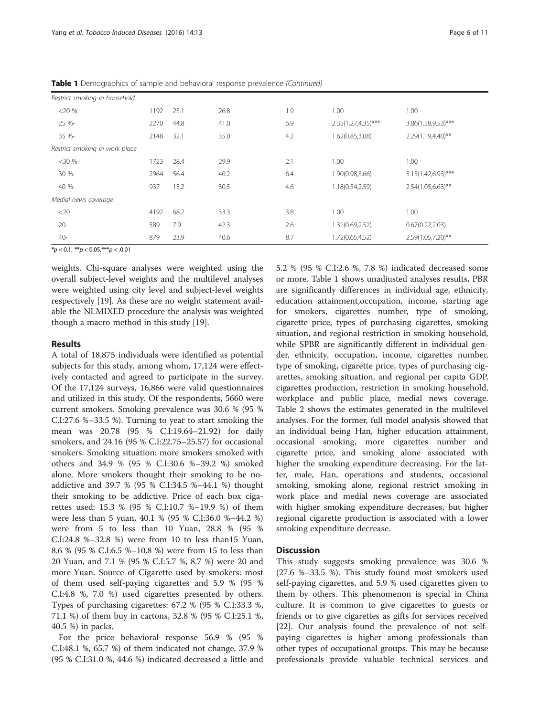| Restrict smoking in household  |      |      |      |     |                    |                    |
|--------------------------------|------|------|------|-----|--------------------|--------------------|
| <20%                           | 1192 | 23.1 | 26.8 | 1.9 | 1.00               | 1.00               |
| 25 %-                          | 2270 | 44.8 | 41.0 | 6.9 | 2.35(1.27,4.35)*** | 3.86(1.58,9.53)*** |
| 35 %-                          | 2148 | 32.1 | 35.0 | 4.2 | 1.62(0.85,3.08)    | 2.29(1.19,4.40)**  |
| Restrict smoking in work place |      |      |      |     |                    |                    |
| <30%                           | 1723 | 28.4 | 29.9 | 2.1 | 1.00               | 1.00               |
| 30 %-                          | 2964 | 56.4 | 40.2 | 6.4 | 1.90(0.98,3.66)    | 3.15(1.42,6.93)*** |
| 40 %-                          | 937  | 15.2 | 30.5 | 4.6 | 1.18(0.54,2.59)    | 2.54(1.05,6.63)**  |
| Medial news coverage           |      |      |      |     |                    |                    |
| $<$ 20                         | 4192 | 68.2 | 33.3 | 3.8 | 1.00               | 1.00               |
| $20 -$                         | 589  | 7.9  | 42.3 | 2.6 | 1.31(0.69, 2.52)   | 0.67(0.22, 2.03)   |
| $40-$                          | 879  | 23.9 | 40.6 | 8.7 | 1.72(0.65, 4.52)   | 2.59(1.05,7.20)**  |

Table 1 Demographics of sample and behavioral response prevalence (Continued)

 $**p* < 0.1, ***p* < 0.05, ****p* < 0.01$ 

weights. Chi-square analyses were weighted using the overall subject-level weights and the multilevel analyses were weighted using city level and subject-level weights respectively [\[19](#page-9-0)]. As these are no weight statement available the NLMIXED procedure the analysis was weighted though a macro method in this study [[19](#page-9-0)].

#### Results

A total of 18,875 individuals were identified as potential subjects for this study, among whom, 17,124 were effectively contacted and agreed to participate in the survey. Of the 17,124 surveys, 16,866 were valid questionnaires and utilized in this study. Of the respondents, 5660 were current smokers. Smoking prevalence was 30.6 % (95 % C.I:27.6 %–33.5 %). Turning to year to start smoking the mean was 20.78 (95 % C.I:19.64–21.92) for daily smokers, and 24.16 (95 % C.I:22.75–25.57) for occasional smokers. Smoking situation: more smokers smoked with others and 34.9 % (95 % C.I:30.6 %–39.2 %) smoked alone. More smokers thought their smoking to be noaddictive and 39.7 % (95 % C.I:34.5 %–44.1 %) thought their smoking to be addictive. Price of each box cigarettes used: 15.3 % (95 % C.I:10.7 %–19.9 %) of them were less than 5 yuan, 40.1 % (95 % C.I:36.0 %–44.2 %) were from 5 to less than 10 Yuan, 28.8 % (95 % C.I:24.8 %–32.8 %) were from 10 to less than15 Yuan, 8.6 % (95 % C.I:6.5 %–10.8 %) were from 15 to less than 20 Yuan, and 7.1 % (95 % C.I:5.7 %, 8.7 %) were 20 and more Yuan. Source of Cigarette used by smokers: most of them used self-paying cigarettes and 5.9 % (95 % C.I:4.8 %, 7.0 %) used cigarettes presented by others. Types of purchasing cigarettes: 67.2 % (95 % C.I:33.3 %, 71.1 %) of them buy in cartons, 32.8 % (95 % C.I:25.1 %, 40.5 %) in packs.

For the price behavioral response 56.9 % (95 % C.I:48.1 %, 65.7 %) of them indicated not change, 37.9 % (95 % C.I:31.0 %, 44.6 %) indicated decreased a little and 5.2 % (95 % C.I:2.6 %, 7.8 %) indicated decreased some or more. Table [1](#page-3-0) shows unadjusted analyses results, PBR are significantly differences in individual age, ethnicity, education attainment,occupation, income, starting age for smokers, cigarettes number, type of smoking, cigarette price, types of purchasing cigarettes, smoking situation, and regional restriction in smoking household, while SPBR are significantly different in individual gender, ethnicity, occupation, income, cigarettes number, type of smoking, cigarette price, types of purchasing cigarettes, smoking situation, and regional per capita GDP, cigarettes production, restriction in smoking household, workplace and public place, medial news coverage. Table [2](#page-6-0) shows the estimates generated in the multilevel analyses. For the former, full model analysis showed that an individual being Han, higher education attainment, occasional smoking, more cigarettes number and cigarette price, and smoking alone associated with higher the smoking expenditure decreasing. For the latter, male, Han, operations and students, occasional smoking, smoking alone, regional restrict smoking in work place and medial news coverage are associated with higher smoking expenditure decreases, but higher regional cigarette production is associated with a lower smoking expenditure decrease.

## **Discussion**

This study suggests smoking prevalence was 30.6 % (27.6 %–33.5 %). This study found most smokers used self-paying cigarettes, and 5.9 % used cigarettes given to them by others. This phenomenon is special in China culture. It is common to give cigarettes to guests or friends or to give cigarettes as gifts for services received [[22\]](#page-9-0). Our analysis found the prevalence of not selfpaying cigarettes is higher among professionals than other types of occupational groups. This may be because professionals provide valuable technical services and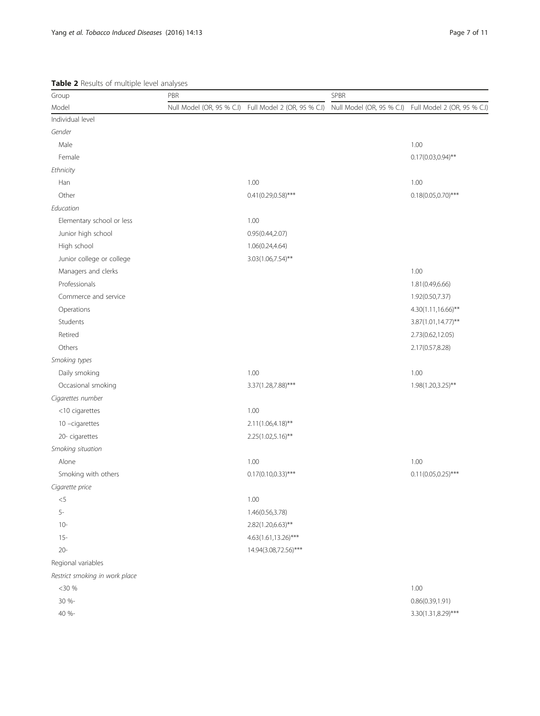<span id="page-6-0"></span>Table 2 Results of multiple level analyses

| Group                          | PBR |                                                       | SPBR |                                                       |  |
|--------------------------------|-----|-------------------------------------------------------|------|-------------------------------------------------------|--|
| Model                          |     | Null Model (OR, 95 % C.I) Full Model 2 (OR, 95 % C.I) |      | Null Model (OR, 95 % C.I) Full Model 2 (OR, 95 % C.I) |  |
| Individual level               |     |                                                       |      |                                                       |  |
| Gender                         |     |                                                       |      |                                                       |  |
| Male                           |     |                                                       |      | 1.00                                                  |  |
| Female                         |     |                                                       |      | $0.17(0.03, 0.94)$ **                                 |  |
| Ethnicity                      |     |                                                       |      |                                                       |  |
| Han                            |     | 1.00                                                  |      | 1.00                                                  |  |
| Other                          |     | $0.41(0.29, 0.58)$ ***                                |      | $0.18(0.05, 0.70)$ ***                                |  |
| Education                      |     |                                                       |      |                                                       |  |
| Elementary school or less      |     | 1.00                                                  |      |                                                       |  |
| Junior high school             |     | 0.95(0.44, 2.07)                                      |      |                                                       |  |
| High school                    |     | 1.06(0.24,4.64)                                       |      |                                                       |  |
| Junior college or college      |     | 3.03(1.06,7.54)**                                     |      |                                                       |  |
| Managers and clerks            |     |                                                       |      | 1.00                                                  |  |
| Professionals                  |     |                                                       |      | 1.81(0.49,6.66)                                       |  |
| Commerce and service           |     |                                                       |      | 1.92(0.50,7.37)                                       |  |
| Operations                     |     |                                                       |      | 4.30(1.11,16.66)**                                    |  |
| Students                       |     |                                                       |      | 3.87(1.01,14.77)**                                    |  |
| Retired                        |     |                                                       |      | 2.73(0.62,12.05)                                      |  |
| Others                         |     |                                                       |      | 2.17(0.57,8.28)                                       |  |
| Smoking types                  |     |                                                       |      |                                                       |  |
| Daily smoking                  |     | 1.00                                                  |      | 1.00                                                  |  |
| Occasional smoking             |     | 3.37(1.28,7.88)***                                    |      | 1.98(1.20,3.25)**                                     |  |
| Cigarettes number              |     |                                                       |      |                                                       |  |
| <10 cigarettes                 |     | 1.00                                                  |      |                                                       |  |
| 10 -cigarettes                 |     | 2.11(1.06,4.18)**                                     |      |                                                       |  |
| 20- cigarettes                 |     | $2.25(1.02,5.16)$ **                                  |      |                                                       |  |
| Smoking situation              |     |                                                       |      |                                                       |  |
| Alone                          |     | 1.00                                                  |      | 1.00                                                  |  |
| Smoking with others            |     | $0.17(0.10, 0.33)$ ***                                |      | $0.11(0.05, 0.25)$ ***                                |  |
| Cigarette price                |     |                                                       |      |                                                       |  |
| $<$ 5                          |     | 1.00                                                  |      |                                                       |  |
| $5-$                           |     | 1.46(0.56,3.78)                                       |      |                                                       |  |
| $10 -$                         |     | 2.82(1.20,6.63)**                                     |      |                                                       |  |
| $15 -$                         |     | 4.63(1.61,13.26)***                                   |      |                                                       |  |
| $20 -$                         |     | 14.94(3.08,72.56)***                                  |      |                                                       |  |
| Regional variables             |     |                                                       |      |                                                       |  |
| Restrict smoking in work place |     |                                                       |      |                                                       |  |
| <30%                           |     |                                                       |      | 1.00                                                  |  |
| 30 %-                          |     |                                                       |      | 0.86(0.39, 1.91)                                      |  |
|                                |     |                                                       |      |                                                       |  |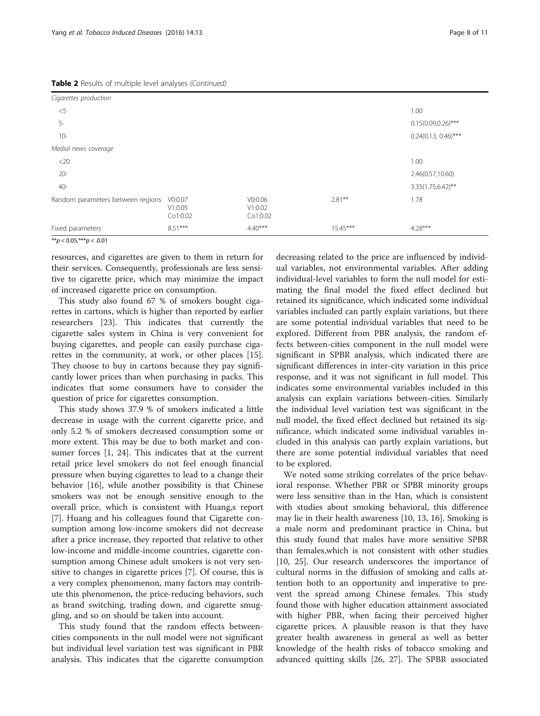| Cigarettes production             |                                |                                |            |                        |  |  |  |
|-----------------------------------|--------------------------------|--------------------------------|------------|------------------------|--|--|--|
| $<$ 5                             |                                |                                |            | 1.00                   |  |  |  |
| $5-$                              |                                |                                |            | $0.15(0.09, 0.26)$ *** |  |  |  |
| $10-$                             |                                |                                |            | $0.24(0.13, 0.46)$ *** |  |  |  |
| Medial news coverage              |                                |                                |            |                        |  |  |  |
| $<$ 20                            |                                |                                |            | 1.00                   |  |  |  |
| $20-$                             |                                |                                |            | 2.46(0.57,10.60)       |  |  |  |
| $40-$                             |                                |                                |            | 3.35(1.75,6.42)**      |  |  |  |
| Random parameters between regions | V0:0.07<br>V1:0.05<br>Co1:0.02 | V0:0.06<br>V1:0.02<br>Co1:0.02 | $2.81***$  | 1.78                   |  |  |  |
| Fixed parameters                  | $8.51***$                      | $4.40***$                      | $15.45***$ | $4.28***$              |  |  |  |

\*\* $p < 0.05,$ \*\*\* $p < .0.01$ 

resources, and cigarettes are given to them in return for their services. Consequently, professionals are less sensitive to cigarette price, which may minimize the impact of increased cigarette price on consumption.

This study also found 67 % of smokers bought cigarettes in cartons, which is higher than reported by earlier researchers [\[23\]](#page-9-0). This indicates that currently the cigarette sales system in China is very convenient for buying cigarettes, and people can easily purchase cigarettes in the community, at work, or other places [\[15](#page-9-0)]. They choose to buy in cartons because they pay significantly lower prices than when purchasing in packs. This indicates that some consumers have to consider the question of price for cigarettes consumption.

This study shows 37.9 % of smokers indicated a little decrease in usage with the current cigarette price, and only 5.2 % of smokers decreased consumption some or more extent. This may be due to both market and consumer forces [[1, 24](#page-9-0)]. This indicates that at the current retail price level smokers do not feel enough financial pressure when buying cigarettes to lead to a change their behavior [\[16](#page-9-0)], while another possibility is that Chinese smokers was not be enough sensitive enough to the overall price, which is consistent with Huang,s report [[7\]](#page-9-0). Huang and his colleagues found that Cigarette consumption among low-income smokers did not decrease after a price increase, they reported that relative to other low-income and middle-income countries, cigarette consumption among Chinese adult smokers is not very sensitive to changes in cigarette prices [\[7](#page-9-0)]. Of course, this is a very complex phenomenon, many factors may contribute this phenomenon, the price-reducing behaviors, such as brand switching, trading down, and cigarette smuggling, and so on should be taken into account.

This study found that the random effects betweencities components in the null model were not significant but individual level variation test was significant in PBR analysis. This indicates that the cigarette consumption

decreasing related to the price are influenced by individual variables, not environmental variables. After adding individual-level variables to form the null model for estimating the final model the fixed effect declined but retained its significance, which indicated some individual variables included can partly explain variations, but there are some potential individual variables that need to be explored. Different from PBR analysis, the random effects between-cities component in the null model were significant in SPBR analysis, which indicated there are significant differences in inter-city variation in this price response, and it was not significant in full model. This indicates some environmental variables included in this analysis can explain variations between-cities. Similarly the individual level variation test was significant in the null model, the fixed effect declined but retained its significance, which indicated some individual variables included in this analysis can partly explain variations, but there are some potential individual variables that need to be explored.

We noted some striking correlates of the price behavioral response. Whether PBR or SPBR minority groups were less sensitive than in the Han, which is consistent with studies about smoking behavioral, this difference may lie in their health awareness [\[10](#page-9-0), [13](#page-9-0), [16](#page-9-0)]. Smoking is a male norm and predominant practice in China, but this study found that males have more sensitive SPBR than females,which is not consistent with other studies [[10, 25\]](#page-9-0). Our research underscores the importance of cultural norms in the diffusion of smoking and calls attention both to an opportunity and imperative to prevent the spread among Chinese females. This study found those with higher education attainment associated with higher PBR, when facing their perceived higher cigarette prices. A plausible reason is that they have greater health awareness in general as well as better knowledge of the health risks of tobacco smoking and advanced quitting skills [\[26](#page-9-0), [27\]](#page-9-0). The SPBR associated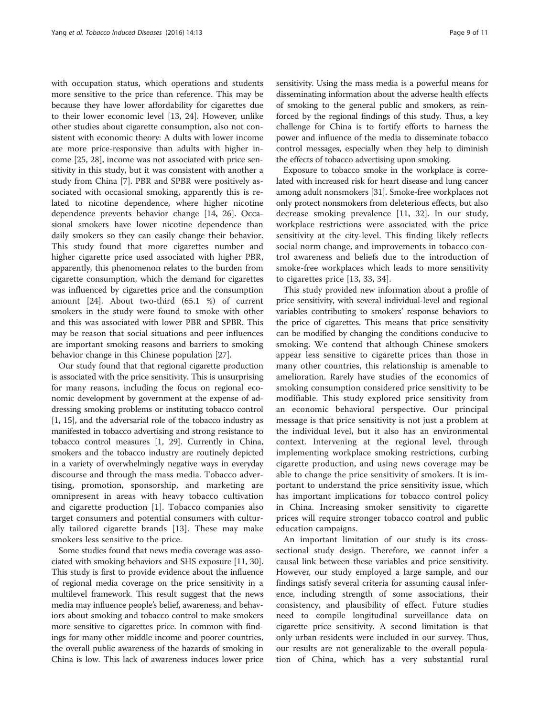with occupation status, which operations and students more sensitive to the price than reference. This may be because they have lower affordability for cigarettes due to their lower economic level [\[13, 24\]](#page-9-0). However, unlike other studies about cigarette consumption, also not consistent with economic theory: A dults with lower income are more price-responsive than adults with higher income [[25, 28\]](#page-9-0), income was not associated with price sensitivity in this study, but it was consistent with another a study from China [[7\]](#page-9-0). PBR and SPBR were positively associated with occasional smoking, apparently this is related to nicotine dependence, where higher nicotine dependence prevents behavior change [\[14](#page-9-0), [26](#page-9-0)]. Occasional smokers have lower nicotine dependence than daily smokers so they can easily change their behavior. This study found that more cigarettes number and higher cigarette price used associated with higher PBR, apparently, this phenomenon relates to the burden from cigarette consumption, which the demand for cigarettes was influenced by cigarettes price and the consumption amount [[24\]](#page-9-0). About two-third (65.1 %) of current smokers in the study were found to smoke with other and this was associated with lower PBR and SPBR. This may be reason that social situations and peer influences are important smoking reasons and barriers to smoking behavior change in this Chinese population [\[27](#page-9-0)].

Our study found that that regional cigarette production is associated with the price sensitivity. This is unsurprising for many reasons, including the focus on regional economic development by government at the expense of addressing smoking problems or instituting tobacco control [[1, 15](#page-9-0)], and the adversarial role of the tobacco industry as manifested in tobacco advertising and strong resistance to tobacco control measures [[1, 29\]](#page-9-0). Currently in China, smokers and the tobacco industry are routinely depicted in a variety of overwhelmingly negative ways in everyday discourse and through the mass media. Tobacco advertising, promotion, sponsorship, and marketing are omnipresent in areas with heavy tobacco cultivation and cigarette production [\[1\]](#page-9-0). Tobacco companies also target consumers and potential consumers with culturally tailored cigarette brands [\[13](#page-9-0)]. These may make smokers less sensitive to the price.

Some studies found that news media coverage was associated with smoking behaviors and SHS exposure [\[11, 30](#page-9-0)]. This study is first to provide evidence about the influence of regional media coverage on the price sensitivity in a multilevel framework. This result suggest that the news media may influence people's belief, awareness, and behaviors about smoking and tobacco control to make smokers more sensitive to cigarettes price. In common with findings for many other middle income and poorer countries, the overall public awareness of the hazards of smoking in China is low. This lack of awareness induces lower price sensitivity. Using the mass media is a powerful means for disseminating information about the adverse health effects of smoking to the general public and smokers, as reinforced by the regional findings of this study. Thus, a key challenge for China is to fortify efforts to harness the power and influence of the media to disseminate tobacco control messages, especially when they help to diminish the effects of tobacco advertising upon smoking.

Exposure to tobacco smoke in the workplace is correlated with increased risk for heart disease and lung cancer among adult nonsmokers [\[31\]](#page-10-0). Smoke-free workplaces not only protect nonsmokers from deleterious effects, but also decrease smoking prevalence [\[11](#page-9-0), [32](#page-10-0)]. In our study, workplace restrictions were associated with the price sensitivity at the city-level. This finding likely reflects social norm change, and improvements in tobacco control awareness and beliefs due to the introduction of smoke-free workplaces which leads to more sensitivity to cigarettes price [[13,](#page-9-0) [33, 34](#page-10-0)].

This study provided new information about a profile of price sensitivity, with several individual-level and regional variables contributing to smokers' response behaviors to the price of cigarettes. This means that price sensitivity can be modified by changing the conditions conducive to smoking. We contend that although Chinese smokers appear less sensitive to cigarette prices than those in many other countries, this relationship is amenable to amelioration. Rarely have studies of the economics of smoking consumption considered price sensitivity to be modifiable. This study explored price sensitivity from an economic behavioral perspective. Our principal message is that price sensitivity is not just a problem at the individual level, but it also has an environmental context. Intervening at the regional level, through implementing workplace smoking restrictions, curbing cigarette production, and using news coverage may be able to change the price sensitivity of smokers. It is important to understand the price sensitivity issue, which has important implications for tobacco control policy in China. Increasing smoker sensitivity to cigarette prices will require stronger tobacco control and public education campaigns.

An important limitation of our study is its crosssectional study design. Therefore, we cannot infer a causal link between these variables and price sensitivity. However, our study employed a large sample, and our findings satisfy several criteria for assuming causal inference, including strength of some associations, their consistency, and plausibility of effect. Future studies need to compile longitudinal surveillance data on cigarette price sensitivity. A second limitation is that only urban residents were included in our survey. Thus, our results are not generalizable to the overall population of China, which has a very substantial rural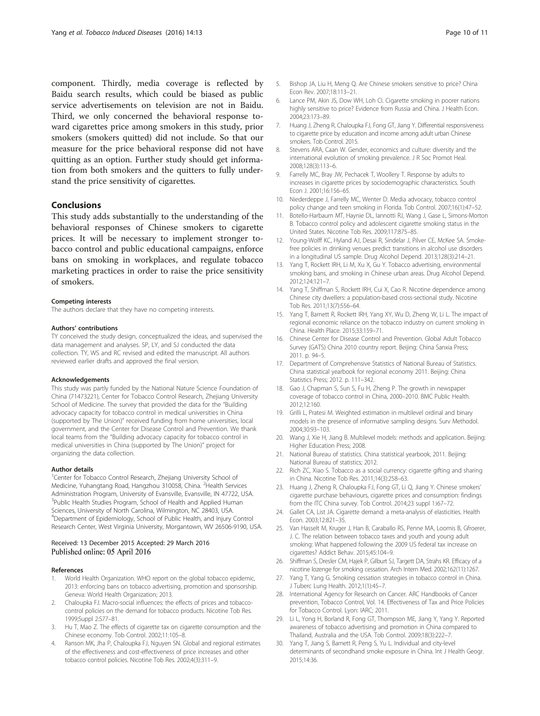<span id="page-9-0"></span>component. Thirdly, media coverage is reflected by Baidu search results, which could be biased as public service advertisements on television are not in Baidu. Third, we only concerned the behavioral response toward cigarettes price among smokers in this study, prior smokers (smokers quitted) did not include. So that our measure for the price behavioral response did not have quitting as an option. Further study should get information from both smokers and the quitters to fully understand the price sensitivity of cigarettes.

#### Conclusions

This study adds substantially to the understanding of the behavioral responses of Chinese smokers to cigarette prices. It will be necessary to implement stronger tobacco control and public educational campaigns, enforce bans on smoking in workplaces, and regulate tobacco marketing practices in order to raise the price sensitivity of smokers.

#### Competing interests

The authors declare that they have no competing interests.

#### Authors' contributions

TY conceived the study design, conceptualized the ideas, and supervised the data management and analyses. SP, LY, and SJ conducted the data collection. TY, WS and RC revised and edited the manuscript. All authors reviewed earlier drafts and approved the final version.

#### Acknowledgements

This study was partly funded by the National Nature Science Foundation of China (71473221), Center for Tobacco Control Research, Zhejiang University School of Medicine. The survey that provided the data for the "Building advocacy capacity for tobacco control in medical universities in China (supported by The Union)" received funding from home universities, local government, and the Center for Disease Control and Prevention. We thank local teams from the "Building advocacy capacity for tobacco control in medical universities in China (supported by The Union)" project for organizing the data collection.

#### Author details

<sup>1</sup>Center for Tobacco Control Research, Zhejiang University School of Medicine, Yuhangtang Road, Hangzhou 310058, China. <sup>2</sup> Health Services Administration Program, University of Evansville, Evansville, IN 47722, USA. <sup>3</sup>Public Health Studies Program, School of Health and Applied Human Sciences, University of North Carolina, Wilmington, NC 28403, USA. 4 Department of Epidemiology, School of Public Health, and Injury Control Research Center, West Virginia University, Morgantown, WV 26506-9190, USA.

### Received: 13 December 2015 Accepted: 29 March 2016 Published online: 05 April 2016

#### References

- 1. World Health Organization. WHO report on the global tobacco epidemic, 2013: enforcing bans on tobacco advertising, promotion and sponsorship. Geneva: World Health Organization; 2013.
- 2. Chaloupka FJ. Macro-social influences: the effects of prices and tobaccocontrol policies on the demand for tobacco products. Nicotine Tob Res. 1999;Suppl 2:S77–81.
- 3. Hu T, Mao Z. The effects of cigarette tax on cigarette consumption and the Chinese economy. Tob Control. 2002;11:105–8.
- 4. Ranson MK, Jha P, Chaloupka FJ, Nguyen SN. Global and regional estimates of the effectiveness and cost-effectiveness of price increases and other tobacco control policies. Nicotine Tob Res. 2002;4(3):311–9.
- Econ Rev. 2007;18:113–21. 6. Lance PM, Akin JS, Dow WH, Loh CI. Cigarette smoking in poorer nations
- highly sensitive to price? Evidence from Russia and China. J Health Econ. 2004;23:173–89.
- 7. Huang J, Zheng R, Chaloupka FJ, Fong GT, Jiang Y. Differential responsiveness to cigarette price by education and income among adult urban Chinese smokers. Tob Control. 2015.
- 8. Stevens ARA, Caan W. Gender, economics and culture: diversity and the international evolution of smoking prevalence. J R Soc Promot Heal. 2008;128(3):113–6.
- 9. Farrelly MC, Bray JW, Pechacek T, Woollery T. Response by adults to increases in cigarette prices by sociodemographic characteristics. South Econ J. 2001;16:156–65.
- 10. Niederdeppe J, Farrelly MC, Wenter D. Media advocacy, tobacco control policy change and teen smoking in Florida. Tob Control. 2007;16(1):47–52.
- 11. Botello-Harbaum MT, Haynie DL, Iannotti RJ, Wang J, Gase L, Simons-Morton B. Tobacco control policy and adolescent cigarette smoking status in the United States. Nicotine Tob Res. 2009;117:875–85.
- 12. Young-Wolff KC, Hyland AJ, Desai R, Sindelar J, Pilver CE, McKee SA. Smokefree policies in drinking venues predict transitions in alcohol use disorders in a longitudinal US sample. Drug Alcohol Depend. 2013;128(3):214–21.
- 13. Yang T, Rockett IRH, Li M, Xu X, Gu Y. Tobacco advertising, environmental smoking bans, and smoking in Chinese urban areas. Drug Alcohol Depend. 2012;124:121–7.
- 14. Yang T, Shiffman S, Rockett IRH, Cui X, Cao R. Nicotine dependence among Chinese city dwellers: a population-based cross-sectional study. Nicotine Tob Res. 2011;13(7):556–64.
- 15. Yang T, Barnett R, Rockett IRH, Yang XY, Wu D, Zheng W, Li L. The impact of regional economic reliance on the tobacco industry on current smoking in China. Health Place. 2015;33:159–71.
- 16. Chinese Center for Disease Control and Prevention. Global Adult Tobacco Survey (GATS) China 2010 country report. Beijing: China Sanxia Press; 2011. p. 94–5.
- 17. Department of Comprehensive Statistics of National Bureau of Statistics. China statistical yearbook for regional economy 2011. Beijing: China Statistics Press; 2012. p. 111–342.
- 18. Gao J, Chapman S, Sun S, Fu H, Zheng P. The growth in newspaper coverage of tobacco control in China, 2000–2010. BMC Public Health. 2012;12:160.
- 19. Grilli L, Pratesi M. Weighted estimation in multilevel ordinal and binary models in the presence of informative sampling designs. Surv Methodol. 2004;30:93–103.
- 20. Wang J, Xie H, Jiang B. Multilevel models: methods and application. Beijing: Higher Education Press; 2008.
- 21. National Bureau of statistics. China statistical yearbook, 2011. Beijing: National Bureau of statistics; 2012.
- 22. Rich ZC, Xiao S. Tobacco as a social currency: cigarette gifting and sharing in China. Nicotine Tob Res. 2011;14(3):258–63.
- 23. Huang J, Zheng R, Chaloupka FJ, Fong GT, Li Q, Jiang Y. Chinese smokers' cigarette purchase behaviours, cigarette prices and consumption: findings from the ITC China survey. Tob Control. 2014;23 suppl 1:i67–72.
- 24. Gallet CA, List JA. Cigarette demand: a meta-analysis of elasticities. Health Econ. 2003;12:821–35.
- 25. Van Hasselt M, Kruger J, Han B, Caraballo RS, Penne MA, Loomis B, Gfroerer, J. C. The relation between tobacco taxes and youth and young adult smoking: What happened following the 2009 US federal tax increase on cigarettes? Addict Behav. 2015;45:104–9.
- 26. Shiffman S, Dresler CM, Hajek P, Gilburt SJ, Targett DA, Strahs KR. Efficacy of a nicotine lozenge for smoking cessation. Arch Intern Med. 2002;162(11):1267.
- 27. Yang T, Yang G. Smoking cessation strategies in tobacco control in China. J Tuberc Lung Health. 2012;1(1):45–7.
- 28. International Agency for Research on Cancer. ARC Handbooks of Cancer prevention, Tobacco Control, Vol. 14. Effectiveness of Tax and Price Policies for Tobacco Control. Lyon: IARC; 2011.
- 29. Li L, Yong H, Borland R, Fong GT, Thompson ME, Jiang Y, Yang Y. Reported awareness of tobacco advertising and promotion in China compared to Thailand, Australia and the USA. Tob Control. 2009;18(3):222–7.
- 30. Yang T, Jiang S, Barnett R, Peng S, Yu L. Individual and city-level determinants of secondhand smoke exposure in China. Int J Health Geogr. 2015;14:36.